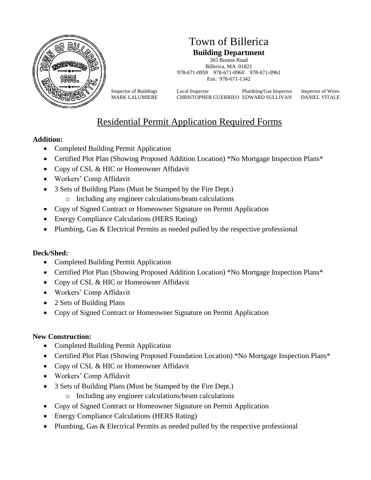

## Town of Billerica **Building Department**

365 Boston Road Billerica, MA 01821 978-671-0959 978-671-0960 978-671-0961 Fax: 978-671-1342

Inspector of Buildings Local Inspector Plumbing/Gas Inspector Inspector of Wires MARK LALUMIERE CHRISTOPHER GUERRIEO EDWARD SULLIVAN DANIEL VITALE

# Residential Permit Application Required Forms

#### **Addition:**

- Completed Building Permit Application
- Certified Plot Plan (Showing Proposed Addition Location) \*No Mortgage Inspection Plans\*
- Copy of CSL & HIC or Homeowner Affidavit
- Workers' Comp Affidavit
- 3 Sets of Building Plans (Must be Stamped by the Fire Dept.)
	- o Including any engineer calculations/beam calculations
- Copy of Signed Contract or Homeowner Signature on Permit Application
- Energy Compliance Calculations (HERS Rating)
- Plumbing, Gas & Electrical Permits as needed pulled by the respective professional

## **Deck/Shed:**

- Completed Building Permit Application
- Certified Plot Plan (Showing Proposed Addition Location) \*No Mortgage Inspection Plans\*
- Copy of CSL & HIC or Homeowner Affidavit
- Workers' Comp Affidavit
- 2 Sets of Building Plans
- Copy of Signed Contract or Homeowner Signature on Permit Application

#### **New Construction:**

- Completed Building Permit Application
- Certified Plot Plan (Showing Proposed Foundation Location) \*No Mortgage Inspection Plans\*
- Copy of CSL & HIC or Homeowner Affidavit
- Workers' Comp Affidavit
- 3 Sets of Building Plans (Must be Stamped by the Fire Dept.)
	- o Including any engineer calculations/beam calculations
- Copy of Signed Contract or Homeowner Signature on Permit Application
- Energy Compliance Calculations (HERS Rating)
- Plumbing, Gas & Electrical Permits as needed pulled by the respective professional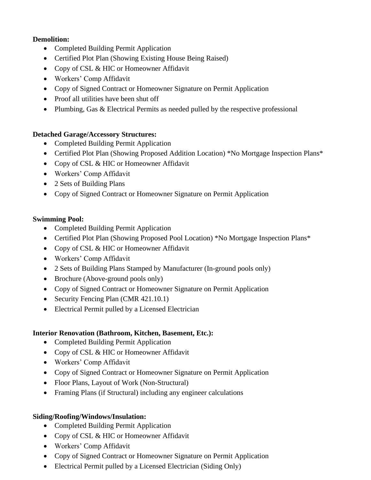#### **Demolition:**

- Completed Building Permit Application
- Certified Plot Plan (Showing Existing House Being Raised)
- Copy of CSL & HIC or Homeowner Affidavit
- Workers' Comp Affidavit
- Copy of Signed Contract or Homeowner Signature on Permit Application
- Proof all utilities have been shut off
- Plumbing, Gas & Electrical Permits as needed pulled by the respective professional

#### **Detached Garage/Accessory Structures:**

- Completed Building Permit Application
- Certified Plot Plan (Showing Proposed Addition Location) \*No Mortgage Inspection Plans\*
- Copy of CSL & HIC or Homeowner Affidavit
- Workers' Comp Affidavit
- 2 Sets of Building Plans
- Copy of Signed Contract or Homeowner Signature on Permit Application

#### **Swimming Pool:**

- Completed Building Permit Application
- Certified Plot Plan (Showing Proposed Pool Location) \*No Mortgage Inspection Plans\*
- Copy of CSL & HIC or Homeowner Affidavit
- Workers' Comp Affidavit
- 2 Sets of Building Plans Stamped by Manufacturer (In-ground pools only)
- Brochure (Above-ground pools only)
- Copy of Signed Contract or Homeowner Signature on Permit Application
- Security Fencing Plan (CMR 421.10.1)
- Electrical Permit pulled by a Licensed Electrician

## **Interior Renovation (Bathroom, Kitchen, Basement, Etc.):**

- Completed Building Permit Application
- Copy of CSL & HIC or Homeowner Affidavit
- Workers' Comp Affidavit
- Copy of Signed Contract or Homeowner Signature on Permit Application
- Floor Plans, Layout of Work (Non-Structural)
- Framing Plans (if Structural) including any engineer calculations

## **Siding/Roofing/Windows/Insulation:**

- Completed Building Permit Application
- Copy of CSL & HIC or Homeowner Affidavit
- Workers' Comp Affidavit
- Copy of Signed Contract or Homeowner Signature on Permit Application
- Electrical Permit pulled by a Licensed Electrician (Siding Only)